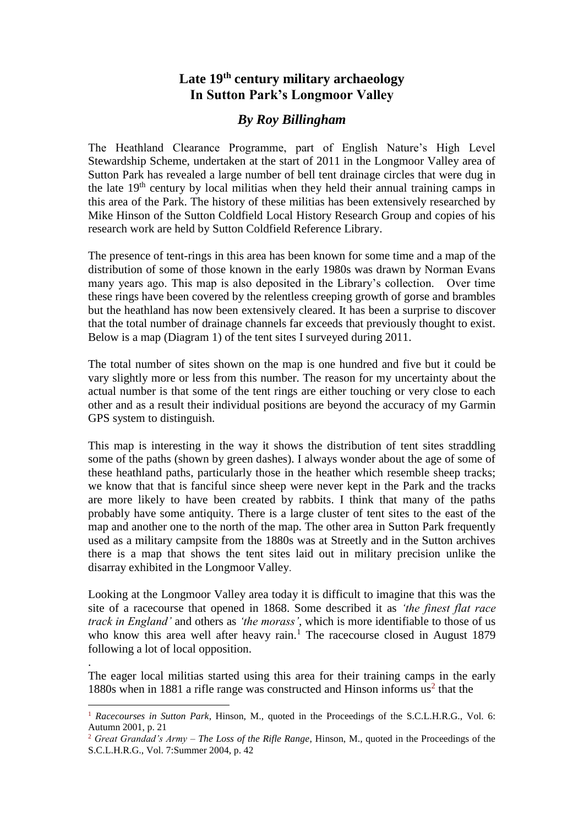## **Late 19th century military archaeology In Sutton Park's Longmoor Valley**

## *By Roy Billingham*

The Heathland Clearance Programme, part of English Nature's High Level Stewardship Scheme, undertaken at the start of 2011 in the Longmoor Valley area of Sutton Park has revealed a large number of bell tent drainage circles that were dug in the late  $19<sup>th</sup>$  century by local militias when they held their annual training camps in this area of the Park. The history of these militias has been extensively researched by Mike Hinson of the Sutton Coldfield Local History Research Group and copies of his research work are held by Sutton Coldfield Reference Library.

The presence of tent-rings in this area has been known for some time and a map of the distribution of some of those known in the early 1980s was drawn by Norman Evans many years ago. This map is also deposited in the Library's collection. Over time these rings have been covered by the relentless creeping growth of gorse and brambles but the heathland has now been extensively cleared. It has been a surprise to discover that the total number of drainage channels far exceeds that previously thought to exist. Below is a map (Diagram 1) of the tent sites I surveyed during 2011.

The total number of sites shown on the map is one hundred and five but it could be vary slightly more or less from this number. The reason for my uncertainty about the actual number is that some of the tent rings are either touching or very close to each other and as a result their individual positions are beyond the accuracy of my Garmin GPS system to distinguish.

This map is interesting in the way it shows the distribution of tent sites straddling some of the paths (shown by green dashes). I always wonder about the age of some of these heathland paths, particularly those in the heather which resemble sheep tracks; we know that that is fanciful since sheep were never kept in the Park and the tracks are more likely to have been created by rabbits. I think that many of the paths probably have some antiquity. There is a large cluster of tent sites to the east of the map and another one to the north of the map. The other area in Sutton Park frequently used as a military campsite from the 1880s was at Streetly and in the Sutton archives there is a map that shows the tent sites laid out in military precision unlike the disarray exhibited in the Longmoor Valley.

Looking at the Longmoor Valley area today it is difficult to imagine that this was the site of a racecourse that opened in 1868. Some described it as *'the finest flat race track in England'* and others as *'the morass'*, which is more identifiable to those of us who know this area well after heavy rain.<sup>1</sup> The racecourse closed in August 1879 following a lot of local opposition.

The eager local militias started using this area for their training camps in the early 1880s when in 1881 a rifle range was constructed and Hinson informs  $us<sup>2</sup>$  that the

.

 $\overline{a}$ 

<sup>1</sup> *Racecourses in Sutton Park*, Hinson, M., quoted in the Proceedings of the S.C.L.H.R.G., Vol. 6: Autumn 2001, p. 21

<sup>2</sup> *Great Grandad's Army – The Loss of the Rifle Range*, Hinson, M., quoted in the Proceedings of the S.C.L.H.R.G., Vol. 7:Summer 2004, p. 42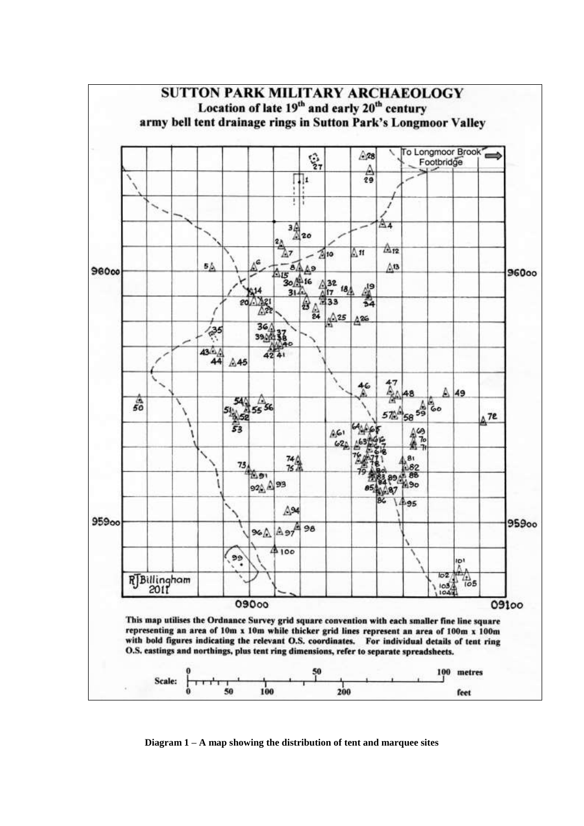

**Diagram 1 – A map showing the distribution of tent and marquee sites**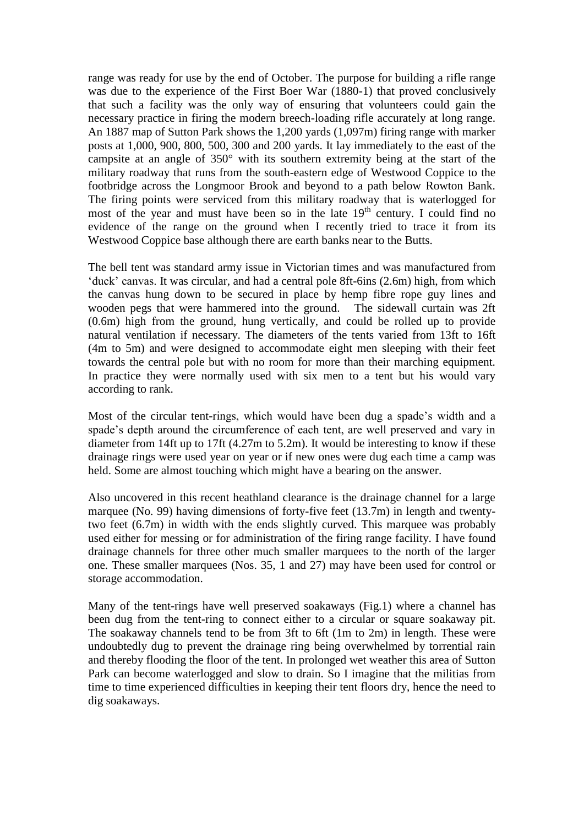range was ready for use by the end of October. The purpose for building a rifle range was due to the experience of the First Boer War (1880-1) that proved conclusively that such a facility was the only way of ensuring that volunteers could gain the necessary practice in firing the modern breech-loading rifle accurately at long range. An 1887 map of Sutton Park shows the 1,200 yards (1,097m) firing range with marker posts at 1,000, 900, 800, 500, 300 and 200 yards. It lay immediately to the east of the campsite at an angle of 350° with its southern extremity being at the start of the military roadway that runs from the south-eastern edge of Westwood Coppice to the footbridge across the Longmoor Brook and beyond to a path below Rowton Bank. The firing points were serviced from this military roadway that is waterlogged for most of the year and must have been so in the late 19<sup>th</sup> century. I could find no evidence of the range on the ground when I recently tried to trace it from its Westwood Coppice base although there are earth banks near to the Butts.

The bell tent was standard army issue in Victorian times and was manufactured from 'duck' canvas. It was circular, and had a central pole 8ft-6ins (2.6m) high, from which the canvas hung down to be secured in place by hemp fibre rope guy lines and wooden pegs that were hammered into the ground. The sidewall curtain was 2ft (0.6m) high from the ground, hung vertically, and could be rolled up to provide natural ventilation if necessary. The diameters of the tents varied from 13ft to 16ft (4m to 5m) and were designed to accommodate eight men sleeping with their feet towards the central pole but with no room for more than their marching equipment. In practice they were normally used with six men to a tent but his would vary according to rank.

Most of the circular tent-rings, which would have been dug a spade's width and a spade's depth around the circumference of each tent, are well preserved and vary in diameter from 14ft up to 17ft (4.27m to 5.2m). It would be interesting to know if these drainage rings were used year on year or if new ones were dug each time a camp was held. Some are almost touching which might have a bearing on the answer.

Also uncovered in this recent heathland clearance is the drainage channel for a large marquee (No. 99) having dimensions of forty-five feet (13.7m) in length and twentytwo feet (6.7m) in width with the ends slightly curved. This marquee was probably used either for messing or for administration of the firing range facility. I have found drainage channels for three other much smaller marquees to the north of the larger one. These smaller marquees (Nos. 35, 1 and 27) may have been used for control or storage accommodation.

Many of the tent-rings have well preserved soakaways (Fig.1) where a channel has been dug from the tent-ring to connect either to a circular or square soakaway pit. The soakaway channels tend to be from 3ft to 6ft (1m to 2m) in length. These were undoubtedly dug to prevent the drainage ring being overwhelmed by torrential rain and thereby flooding the floor of the tent. In prolonged wet weather this area of Sutton Park can become waterlogged and slow to drain. So I imagine that the militias from time to time experienced difficulties in keeping their tent floors dry, hence the need to dig soakaways.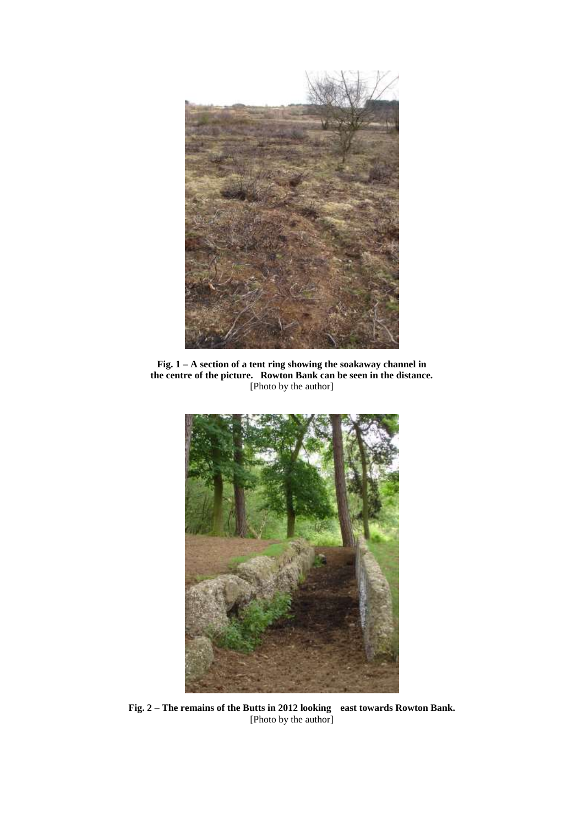

**Fig. 1 – A section of a tent ring showing the soakaway channel in the centre of the picture. Rowton Bank can be seen in the distance.**  [Photo by the author]



**Fig. 2 – The remains of the Butts in 2012 looking east towards Rowton Bank.** [Photo by the author]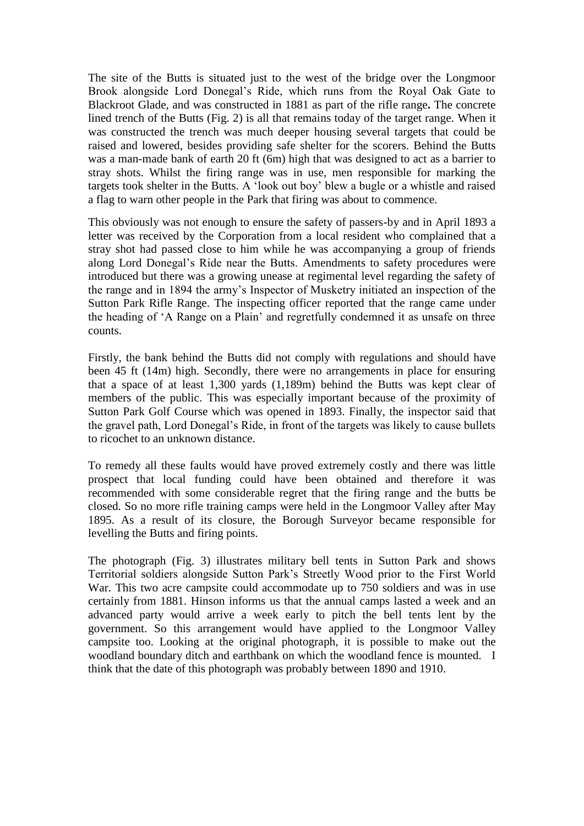The site of the Butts is situated just to the west of the bridge over the Longmoor Brook alongside Lord Donegal's Ride, which runs from the Royal Oak Gate to Blackroot Glade, and was constructed in 1881 as part of the rifle range**.** The concrete lined trench of the Butts (Fig. 2) is all that remains today of the target range. When it was constructed the trench was much deeper housing several targets that could be raised and lowered, besides providing safe shelter for the scorers. Behind the Butts was a man-made bank of earth 20 ft (6m) high that was designed to act as a barrier to stray shots. Whilst the firing range was in use, men responsible for marking the targets took shelter in the Butts. A 'look out boy' blew a bugle or a whistle and raised a flag to warn other people in the Park that firing was about to commence.

This obviously was not enough to ensure the safety of passers-by and in April 1893 a letter was received by the Corporation from a local resident who complained that a stray shot had passed close to him while he was accompanying a group of friends along Lord Donegal's Ride near the Butts. Amendments to safety procedures were introduced but there was a growing unease at regimental level regarding the safety of the range and in 1894 the army's Inspector of Musketry initiated an inspection of the Sutton Park Rifle Range. The inspecting officer reported that the range came under the heading of 'A Range on a Plain' and regretfully condemned it as unsafe on three counts.

Firstly, the bank behind the Butts did not comply with regulations and should have been 45 ft (14m) high. Secondly, there were no arrangements in place for ensuring that a space of at least 1,300 yards (1,189m) behind the Butts was kept clear of members of the public. This was especially important because of the proximity of Sutton Park Golf Course which was opened in 1893. Finally, the inspector said that the gravel path, Lord Donegal's Ride, in front of the targets was likely to cause bullets to ricochet to an unknown distance.

To remedy all these faults would have proved extremely costly and there was little prospect that local funding could have been obtained and therefore it was recommended with some considerable regret that the firing range and the butts be closed. So no more rifle training camps were held in the Longmoor Valley after May 1895. As a result of its closure, the Borough Surveyor became responsible for levelling the Butts and firing points.

The photograph (Fig. 3) illustrates military bell tents in Sutton Park and shows Territorial soldiers alongside Sutton Park's Streetly Wood prior to the First World War. This two acre campsite could accommodate up to 750 soldiers and was in use certainly from 1881. Hinson informs us that the annual camps lasted a week and an advanced party would arrive a week early to pitch the bell tents lent by the government. So this arrangement would have applied to the Longmoor Valley campsite too. Looking at the original photograph, it is possible to make out the woodland boundary ditch and earthbank on which the woodland fence is mounted. I think that the date of this photograph was probably between 1890 and 1910.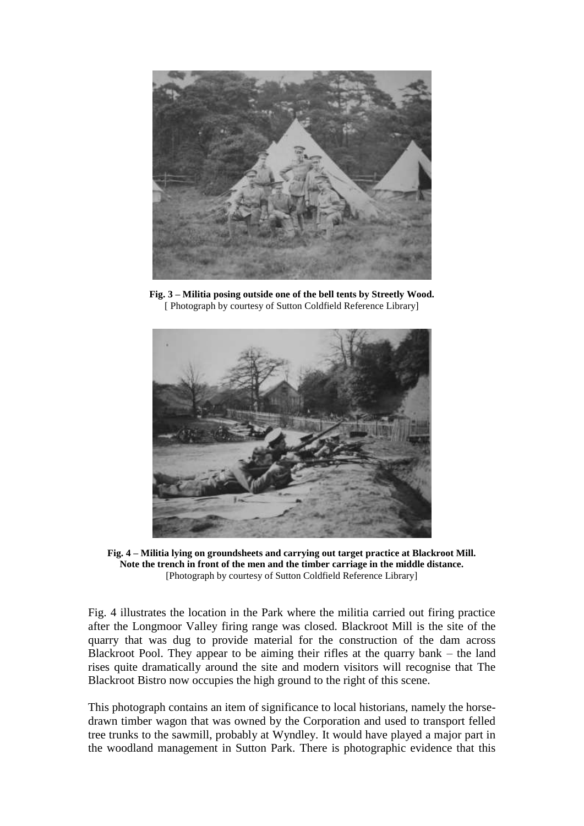

**Fig. 3 – Militia posing outside one of the bell tents by Streetly Wood.** [ Photograph by courtesy of Sutton Coldfield Reference Library]



**Fig. 4 – Militia lying on groundsheets and carrying out target practice at Blackroot Mill. Note the trench in front of the men and the timber carriage in the middle distance.** [Photograph by courtesy of Sutton Coldfield Reference Library]

Fig. 4 illustrates the location in the Park where the militia carried out firing practice after the Longmoor Valley firing range was closed. Blackroot Mill is the site of the quarry that was dug to provide material for the construction of the dam across Blackroot Pool. They appear to be aiming their rifles at the quarry bank – the land rises quite dramatically around the site and modern visitors will recognise that The Blackroot Bistro now occupies the high ground to the right of this scene.

This photograph contains an item of significance to local historians, namely the horsedrawn timber wagon that was owned by the Corporation and used to transport felled tree trunks to the sawmill, probably at Wyndley. It would have played a major part in the woodland management in Sutton Park. There is photographic evidence that this